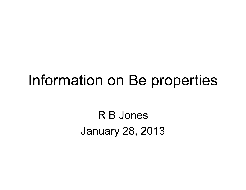# Information on Be properties

R B JonesJanuary 28, 2013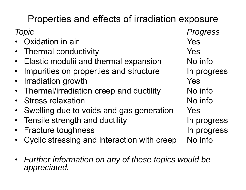# Properties and effects of irradiation exposure

- •Oxidation in air Yes
- $\bullet$ Thermal conductivity Thermal conductivity
- $\bullet~$  Elastic modulii and thermal expansion  $~\phantom{\odot}~$  No info
- •Impurities on properties and structure In progress
- •Irradiation growth Tradiation  $Y$ es
- $\bullet$ Thermal/irradiation creep and ductility Mo info
- $\bullet$ Stress relaxation and the No information of the North Company of the North Company of the North Company of the North Company of the North Company of the North Company of the North Company of the North Company of the North
- $\bullet$ Swelling due to voids and gas generation Yes
- •Tensile strength and ductility **In progress**
- •Fracture toughness and the late of the progress
- •Cyclic stressing and interaction with creep No info
- $\bullet$  *Further information on any of these topics would be appreciated.*

*Topic Progress*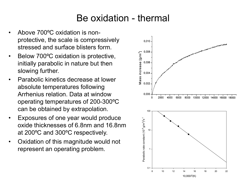#### Be oxidation - thermal

- • Above 700ºC oxidation is nonprotective, the scale is compressively stressed and surface blisters form.
- • Below 700ºC oxidation is protective, initially parabolic in nature but then slowing further.
- • Parabolic kinetics decrease at lower absolute temperatures following Arrhenius relation. Data at window operating temperatures of 200-300ºC can be obtained by extrapolation.
- • Exposures of one year would produce oxide thicknesses of 6.8nm and 16.8nm at 200ºC and 300ºC respectively.
- • Oxidation of this magnitude would not represent an operating problem.

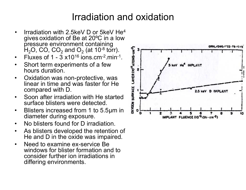#### Irradiation and oxidation

- • Irradiation with 2.5keV D or 5keV He4 gives oxidation of Be at 20ºC in a low pressure environment containing  $\mathsf{H}_{2}\mathsf{O},$  CO, CO<sub>2</sub> and O<sub>2</sub> (at 10<sup>-8</sup> torr).
- $\bullet$ Fluxes of 1 -  $3 \times 10^{16}$  ions.cm<sup>-2</sup>.min<sup>-1</sup>.
- $\bullet$  Short term experiments of a few hours duration.
- $\bullet$  Oxidation was non-protective, was linear in time and was faster for He compared with D.
- • Soon after irradiation with He started surface blisters were detected.
- $\bullet$  Blisters increased from 1 to 5.5 μm in diameter during exposure.
- $\bullet$ No blisters found for D irradiation.
- • As blisters developed the retention of He and D in the oxide was impaired.
- $\bullet$  Need to examine ex-service Be windows for blister formation and to consider further ion irradiations in differing environments.

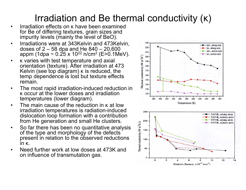## Irradiation and Be thermal conductivity ( κ )

- • Irradiation effects on κ have been examined for Be of differing textures, grain sizes and impurity levels (mainly the level of BeO).
- • Irradiations were at 343Kelvin and 473Kelvin, doses of 2 – 58 dpa and He 840 – 20,600 appm (1dpa ~ 0.25 x 10<sup>22</sup> n/cm<sup>2</sup> (E>0.1MeV).
- •• K varies with test temperature and axial orientation (texture). After irradiation at 473 Kelvin (see top diagram) κ is reduced, the temp dependence is lost but texture effects remain.
- $\bullet$  The most rapid irradiation-induced reduction in κ occur at the lower doses and irradiation temperatures (lower diagram).
- • The main cause of the reduction in κ at low irradiation temperatures is radiation-induced dislocation loop formation with a contribution from He generation and small He clusters.
- $\bullet$  So far there has been no quantitative analysis of the type and morphology of the defects present in relation to the observed reductions in κ.
- • Need further work at low doses at 473K and on influence of transmutation gas.

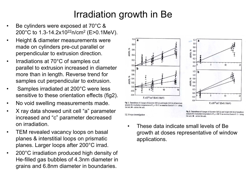## Irradiation growth in Be

- • Be cylinders were exposed at 70°C & 200°C to 1.3-14.2x1022n/cm 2 (E>0.1MeV).
- • Height & diameter measurements were made on cylinders pre-cut parallel or perpendicular to extrusion direction.
- • Irradiations at 70°C of samples cut parallel to extrusion increased in diameter more than in length. Reverse trend for samples cut perpendicular to extrusion.
- • Samples irradiated at 200°C were less sensitive to these orientation effects (fig2).
- •No void swelling measurements made.
- • X ray data showed unit cell "a" parameter increased and "c" parameter decreased on irradiation.
- • TEM revealed vacancy loops on basal planes & interstitial loops on prismatic planes. Larger loops after 200°C irrad.
- • 200°C irradiation produced high density of He-filled gas bubbles of 4.3nm diameter in grains and 6.8nm diameter in boundaries.





Fig. 1. Dependence of changes of diameter  $D/D$  (a) and height  $H/H$  (b) of beryllium samples for irradiation temperature of  $T_{irr} = 70$  °C on neutron fluence F:  $\circ$  - along the axis;  $\bullet$  - across the axis.

3.2. X-rays investigation

Fig. 2. Dependence of changes of diameter D/D (a) and height H/H (b) of beryllium samples for irradiation temperature of  $T_{irr}$  = 200 °C on neutron fluence F:  $O -$  along the axis;  $\bullet$  - across the axis.

• These data indicate small levels of Be growth at doses representative of window applications.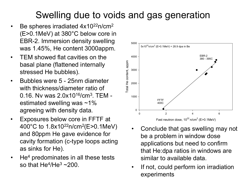## Swelling due to voids and gas generation

- •Be spheres irradiated 4x10<sup>22</sup>n/cm<sup>2</sup> (E>0.1MeV) at 380°C below core in EBR-2. Immersion density swelling was 1.45%, He content 3000appm.
- $\bullet$  TEM showed flat cavities on the basal plane (flattened internally stressed He bubbles).
- $\bullet$  Bubbles were 5 - 25nm diameter with thickness/diameter ratio of 0.16. Nv was 2.0x10<sup>16</sup>/cm<sup>3</sup>. TEM estimated swelling was ~1% agreeing with density data.
- $\bullet$  Exposures below core in FFTF at 400°C to 1.8x1022n/cm 2(E>0.1MeV) and 80ppm He gave evidence for cavity formation (c-type loops acting as sinks for He).
- • He 4 predominates in all these tests so that He $^{4}$ /He $^{3}$  ~200.  $\,$



- • Conclude that gas swelling may not be a problem in window dose applications but need to confirm that He:dpa ratios in windows are similar to available data.
- • If not, could perform ion irradiation experiments